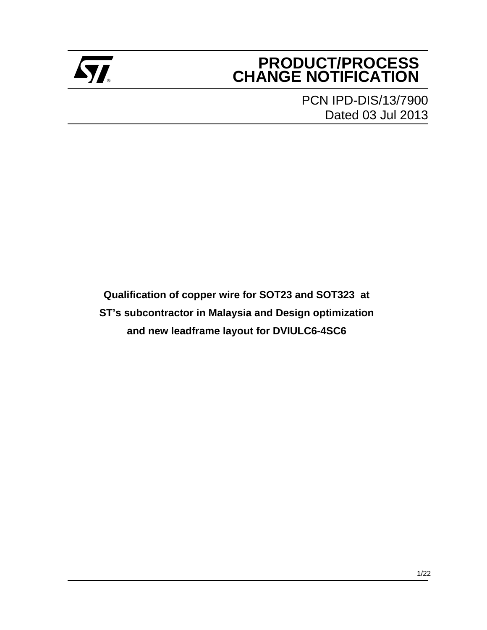

## **PRODUCT/PROCESS Example 2** CHANGE NOTIFICATION

PCN IPD-DIS/13/7900 Dated 03 Jul 2013

**Qualification of copper wire for SOT23 and SOT323 at ST's subcontractor in Malaysia and Design optimization and new leadframe layout for DVIULC6-4SC6**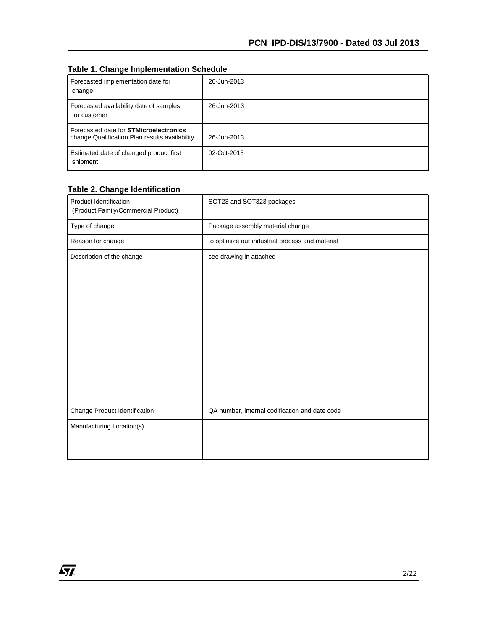#### **Table 1. Change Implementation Schedule**

| Forecasted implementation date for<br>change                                                    | 26-Jun-2013 |
|-------------------------------------------------------------------------------------------------|-------------|
| Forecasted availability date of samples<br>for customer                                         | 26-Jun-2013 |
| Forecasted date for <b>STMicroelectronics</b><br>change Qualification Plan results availability | 26-Jun-2013 |
| Estimated date of changed product first<br>shipment                                             | 02-Oct-2013 |

#### **Table 2. Change Identification**

| Product Identification<br>(Product Family/Commercial Product) | SOT23 and SOT323 packages                       |  |  |
|---------------------------------------------------------------|-------------------------------------------------|--|--|
| Type of change                                                | Package assembly material change                |  |  |
| Reason for change                                             | to optimize our industrial process and material |  |  |
| Description of the change                                     | see drawing in attached                         |  |  |
| Change Product Identification                                 | QA number, internal codification and date code  |  |  |
| Manufacturing Location(s)                                     |                                                 |  |  |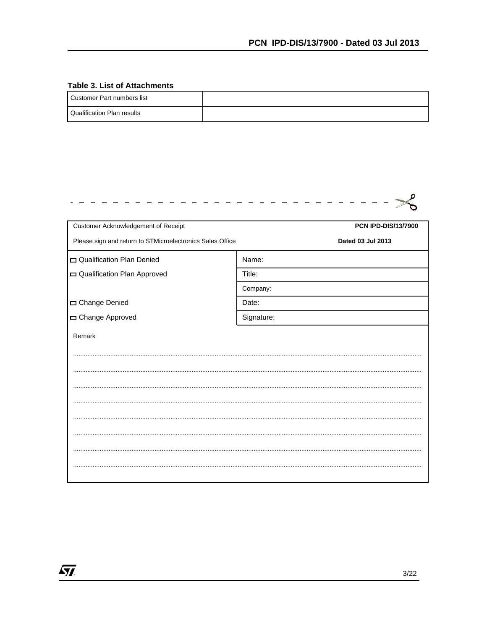#### **Table 3. List of Attachments**

 $\sqrt{M}$ 

| I Customer Part numbers list      |  |
|-----------------------------------|--|
| <b>Qualification Plan results</b> |  |

| Customer Acknowledgement of Receipt                       | <b>PCN IPD-DIS/13/7900</b> |
|-----------------------------------------------------------|----------------------------|
| Please sign and return to STMicroelectronics Sales Office | Dated 03 Jul 2013          |
| Qualification Plan Denied                                 | Name:                      |
| Qualification Plan Approved                               | Title:                     |
|                                                           | Company:                   |
| Change Denied                                             | Date:                      |
| Change Approved                                           | Signature:                 |
| Remark                                                    |                            |
|                                                           |                            |
|                                                           |                            |
|                                                           |                            |
|                                                           |                            |
|                                                           |                            |
|                                                           |                            |
|                                                           |                            |
|                                                           |                            |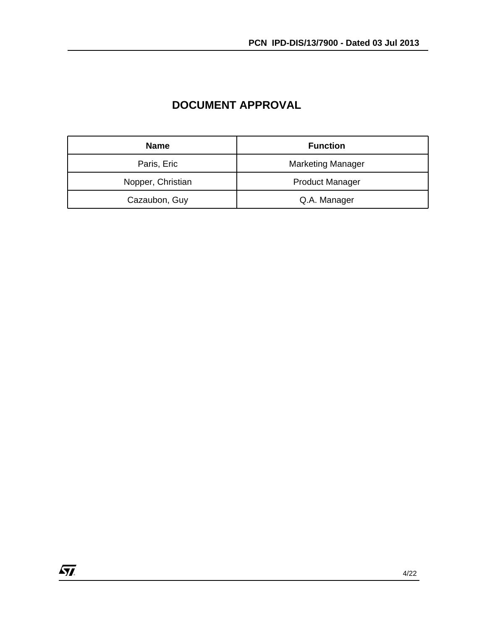| <b>Name</b>       | <b>Function</b>          |
|-------------------|--------------------------|
| Paris, Eric       | <b>Marketing Manager</b> |
| Nopper, Christian | <b>Product Manager</b>   |
| Cazaubon, Guy     | Q.A. Manager             |

## **DOCUMENT APPROVAL**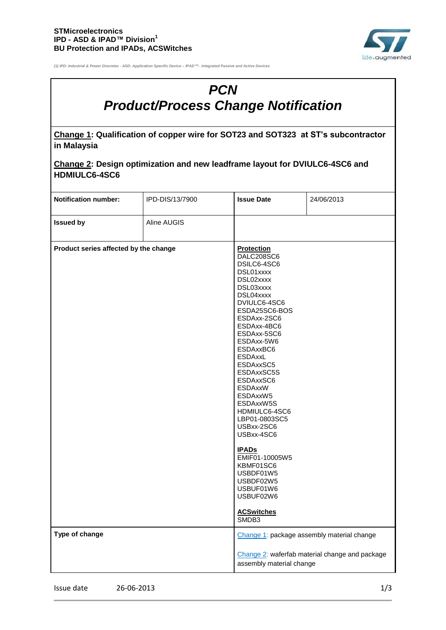

*(1) IPD: Industrial & Power Discretes - ASD: Application Specific Device – IPAD™: Integrated Passive and Active Devices*

# *PCN Product/Process Change Notification*

**Change 1: Qualification of copper wire for SOT23 and SOT323 at ST's subcontractor in Malaysia**

| Change 2: Design optimization and new leadframe layout for DVIULC6-4SC6 and |  |
|-----------------------------------------------------------------------------|--|
| <b>HDMIULC6-4SC6</b>                                                        |  |

| <b>Notification number:</b>           | IPD-DIS/13/7900 | <b>Issue Date</b>                                                                                                                                                                                                                                                                                                                                                                                                                                                          | 24/06/2013                                     |
|---------------------------------------|-----------------|----------------------------------------------------------------------------------------------------------------------------------------------------------------------------------------------------------------------------------------------------------------------------------------------------------------------------------------------------------------------------------------------------------------------------------------------------------------------------|------------------------------------------------|
| <b>Issued by</b>                      | Aline AUGIS     |                                                                                                                                                                                                                                                                                                                                                                                                                                                                            |                                                |
| Product series affected by the change |                 | <b>Protection</b><br>DALC208SC6<br>DSILC6-4SC6<br>DSL01xxxx<br>DSL02xxxx<br>DSL03xxxx<br>DSL04xxxx<br>DVIULC6-4SC6<br>ESDA25SC6-BOS<br>ESDAxx-2SC6<br>ESDAxx-4BC6<br>ESDAxx-5SC6<br>ESDAxx-5W6<br>ESDAxxBC6<br><b>ESDAxxL</b><br>ESDAxxSC5<br>ESDAxxSC5S<br>ESDAxxSC6<br>ESDAxxW<br>ESDAxxW5<br>ESDAxxW5S<br>HDMIULC6-4SC6<br>LBP01-0803SC5<br>USBxx-2SC6<br>USBxx-4SC6<br><b>IPADs</b><br>EMIF01-10005W5<br>KBMF01SC6<br>USBDF01W5<br>USBDF02W5<br>USBUF01W6<br>USBUF02W6 |                                                |
|                                       |                 | <b>ACSwitches</b><br>SMDB3                                                                                                                                                                                                                                                                                                                                                                                                                                                 |                                                |
| Type of change                        |                 |                                                                                                                                                                                                                                                                                                                                                                                                                                                                            | Change 1: package assembly material change     |
|                                       |                 | assembly material change                                                                                                                                                                                                                                                                                                                                                                                                                                                   | Change 2: waferfab material change and package |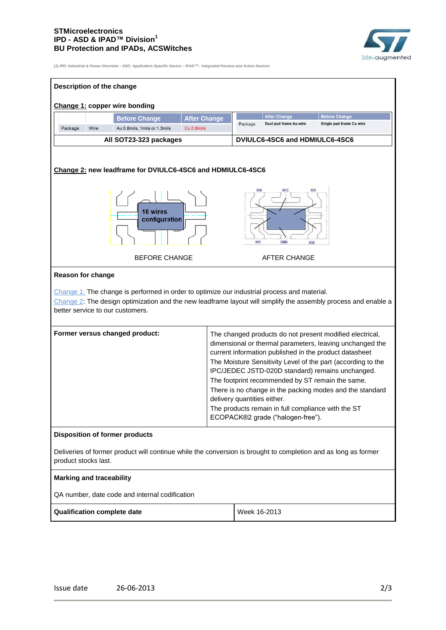#### **STMicroelectronics IPD - ASD & IPAD™ Division<sup>1</sup> BU Protection and IPADs, ACSWitches**



*(1) IPD: Industrial & Power Discretes - ASD: Application Specific Device – IPAD™: Integrated Passive and Active Devices*

| Description of the change                                                                                                                                                                                                                                                        |                     |                                        |                                                                                                                                             |                                                                                                                                                                                                                                                                                                                                                                |  |
|----------------------------------------------------------------------------------------------------------------------------------------------------------------------------------------------------------------------------------------------------------------------------------|---------------------|----------------------------------------|---------------------------------------------------------------------------------------------------------------------------------------------|----------------------------------------------------------------------------------------------------------------------------------------------------------------------------------------------------------------------------------------------------------------------------------------------------------------------------------------------------------------|--|
| Change 1: copper wire bonding                                                                                                                                                                                                                                                    |                     |                                        |                                                                                                                                             |                                                                                                                                                                                                                                                                                                                                                                |  |
| <b>Before Change</b>                                                                                                                                                                                                                                                             | <b>After Change</b> |                                        | <b>After Change</b>                                                                                                                         | <b>Before Change</b>                                                                                                                                                                                                                                                                                                                                           |  |
| Package<br>Wire<br>Au 0.8mils, 1mils or 1.3mils                                                                                                                                                                                                                                  | Cu 0.8mils          | Package                                | Dual pad frame Au wire                                                                                                                      | Single pad frame Cu wire                                                                                                                                                                                                                                                                                                                                       |  |
| All SOT23-323 packages                                                                                                                                                                                                                                                           |                     |                                        | DVIULC6-4SC6 and HDMIULC6-4SC6                                                                                                              |                                                                                                                                                                                                                                                                                                                                                                |  |
| Change 2: new leadframe for DVIULC6-4SC6 and HDMIULC6-4SC6                                                                                                                                                                                                                       |                     | <b>IO4</b>                             |                                                                                                                                             |                                                                                                                                                                                                                                                                                                                                                                |  |
| <b>16 wires</b><br>configuration                                                                                                                                                                                                                                                 |                     | <b>ACC</b><br>103<br>GND<br>101<br>102 |                                                                                                                                             |                                                                                                                                                                                                                                                                                                                                                                |  |
| <b>BEFORE CHANGE</b>                                                                                                                                                                                                                                                             |                     |                                        | AFTER CHANGE                                                                                                                                |                                                                                                                                                                                                                                                                                                                                                                |  |
| <b>Reason for change</b><br>$Change 1$ : The change is performed in order to optimize our industrial process and material.<br>Change 2: The design optimization and the new leadframe layout will simplify the assembly process and enable a<br>better service to our customers. |                     |                                        |                                                                                                                                             |                                                                                                                                                                                                                                                                                                                                                                |  |
| Former versus changed product:                                                                                                                                                                                                                                                   |                     | delivery quantities either.            | The footprint recommended by ST remain the same.<br>The products remain in full compliance with the ST<br>ECOPACK®2 grade ("halogen-free"). | The changed products do not present modified electrical,<br>dimensional or thermal parameters, leaving unchanged the<br>current information published in the product datasheet<br>The Moisture Sensitivity Level of the part (according to the<br>IPC/JEDEC JSTD-020D standard) remains unchanged.<br>There is no change in the packing modes and the standard |  |
| <b>Disposition of former products</b>                                                                                                                                                                                                                                            |                     |                                        |                                                                                                                                             |                                                                                                                                                                                                                                                                                                                                                                |  |
| Deliveries of former product will continue while the conversion is brought to completion and as long as former<br>product stocks last.                                                                                                                                           |                     |                                        |                                                                                                                                             |                                                                                                                                                                                                                                                                                                                                                                |  |
| <b>Marking and traceability</b>                                                                                                                                                                                                                                                  |                     |                                        |                                                                                                                                             |                                                                                                                                                                                                                                                                                                                                                                |  |
| QA number, date code and internal codification                                                                                                                                                                                                                                   |                     |                                        |                                                                                                                                             |                                                                                                                                                                                                                                                                                                                                                                |  |
| <b>Qualification complete date</b><br>Week 16-2013                                                                                                                                                                                                                               |                     |                                        |                                                                                                                                             |                                                                                                                                                                                                                                                                                                                                                                |  |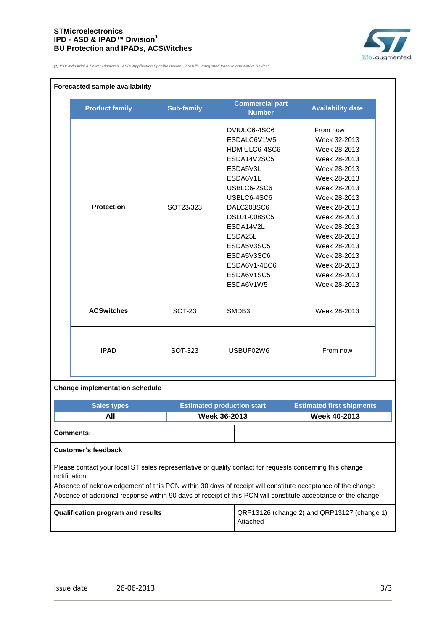#### **STMicroelectronics IPD - ASD & IPAD™ Division<sup>1</sup> BU Protection and IPADs, ACSWitches**



*(1) IPD: Industrial & Power Discretes - ASD: Application Specific Device – IPAD™: Integrated Passive and Active Devices*

#### **Forecasted sample availability**

|  | <b>Product family</b>                                                                                                                                                                                                                                                                                                                                   | <b>Sub-family</b> | <b>Commercial part</b><br><b>Number</b> | <b>Availability date</b>                    |  |
|--|---------------------------------------------------------------------------------------------------------------------------------------------------------------------------------------------------------------------------------------------------------------------------------------------------------------------------------------------------------|-------------------|-----------------------------------------|---------------------------------------------|--|
|  |                                                                                                                                                                                                                                                                                                                                                         |                   | DVIULC6-4SC6                            | From now                                    |  |
|  |                                                                                                                                                                                                                                                                                                                                                         |                   | ESDALC6V1W5                             | Week 32-2013                                |  |
|  |                                                                                                                                                                                                                                                                                                                                                         |                   | HDMIULC6-4SC6                           | Week 28-2013                                |  |
|  |                                                                                                                                                                                                                                                                                                                                                         |                   | ESDA14V2SC5                             | Week 28-2013                                |  |
|  |                                                                                                                                                                                                                                                                                                                                                         |                   | ESDA5V3L                                | Week 28-2013                                |  |
|  |                                                                                                                                                                                                                                                                                                                                                         |                   | ESDA6V1L                                | Week 28-2013                                |  |
|  |                                                                                                                                                                                                                                                                                                                                                         |                   | USBLC6-2SC6                             | Week 28-2013                                |  |
|  |                                                                                                                                                                                                                                                                                                                                                         |                   | USBLC6-4SC6                             | Week 28-2013                                |  |
|  | <b>Protection</b>                                                                                                                                                                                                                                                                                                                                       | SOT23/323         | DALC208SC6                              | Week 28-2013                                |  |
|  |                                                                                                                                                                                                                                                                                                                                                         |                   | DSL01-008SC5                            | Week 28-2013                                |  |
|  |                                                                                                                                                                                                                                                                                                                                                         |                   | ESDA14V2L                               | Week 28-2013                                |  |
|  |                                                                                                                                                                                                                                                                                                                                                         |                   | ESDA25L                                 | Week 28-2013                                |  |
|  |                                                                                                                                                                                                                                                                                                                                                         |                   | ESDA5V3SC5                              | Week 28-2013                                |  |
|  |                                                                                                                                                                                                                                                                                                                                                         |                   | ESDA5V3SC6                              | Week 28-2013                                |  |
|  |                                                                                                                                                                                                                                                                                                                                                         |                   | ESDA6V1-4BC6                            | Week 28-2013                                |  |
|  |                                                                                                                                                                                                                                                                                                                                                         |                   | ESDA6V1SC5                              | Week 28-2013                                |  |
|  |                                                                                                                                                                                                                                                                                                                                                         |                   | ESDA6V1W5                               | Week 28-2013                                |  |
|  | <b>ACSwitches</b>                                                                                                                                                                                                                                                                                                                                       | SOT-23            | SMDB3                                   | Week 28-2013                                |  |
|  | <b>IPAD</b>                                                                                                                                                                                                                                                                                                                                             | SOT-323           | USBUF02W6                               | From now                                    |  |
|  | <b>Change implementation schedule</b>                                                                                                                                                                                                                                                                                                                   |                   |                                         |                                             |  |
|  | <b>Sales types</b>                                                                                                                                                                                                                                                                                                                                      |                   | <b>Estimated production start</b>       | <b>Estimated first shipments</b>            |  |
|  | All                                                                                                                                                                                                                                                                                                                                                     |                   | <b>Week 36-2013</b>                     | <b>Week 40-2013</b>                         |  |
|  | <b>Comments:</b>                                                                                                                                                                                                                                                                                                                                        |                   |                                         |                                             |  |
|  | <b>Customer's feedback</b>                                                                                                                                                                                                                                                                                                                              |                   |                                         |                                             |  |
|  | Please contact your local ST sales representative or quality contact for requests concerning this change<br>notification.<br>Absence of acknowledgement of this PCN within 30 days of receipt will constitute acceptance of the change<br>Absence of additional response within 90 days of receipt of this PCN will constitute acceptance of the change |                   |                                         |                                             |  |
|  | Qualification program and results                                                                                                                                                                                                                                                                                                                       |                   |                                         | QRP13126 (change 2) and QRP13127 (change 1) |  |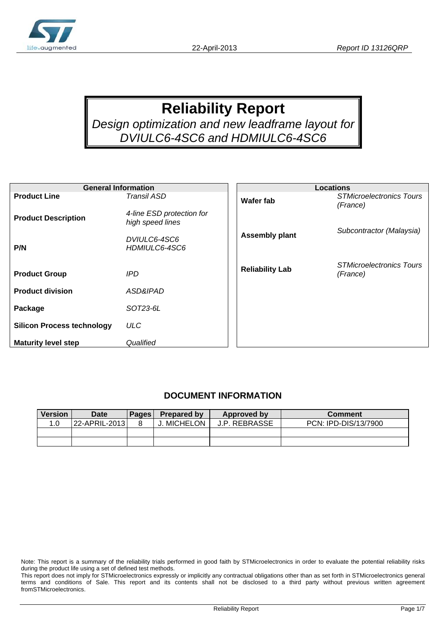

# **Reliability Report**

*Design optimization and new leadframe layout for DVIULC6-4SC6 and HDMIULC6-4SC6* 

| <b>General Information</b>        |                                               | <b>Locations</b>       |                                             |  |
|-----------------------------------|-----------------------------------------------|------------------------|---------------------------------------------|--|
| <b>Product Line</b>               | Transil ASD                                   | <b>Wafer fab</b>       | <b>STMicroelectronics Tours</b><br>(France) |  |
| <b>Product Description</b>        | 4-line ESD protection for<br>high speed lines |                        | Subcontractor (Malaysia)                    |  |
| P/N                               | DVIULC6-4SC6<br>HDMIULC6-4SC6                 | <b>Assembly plant</b>  |                                             |  |
| <b>Product Group</b>              | IPD.                                          | <b>Reliability Lab</b> | <b>STMicroelectronics Tours</b><br>(France) |  |
| <b>Product division</b>           | ASD&IPAD                                      |                        |                                             |  |
| Package                           | SOT23-6L                                      |                        |                                             |  |
| <b>Silicon Process technology</b> | <b>ULC</b>                                    |                        |                                             |  |
| <b>Maturity level step</b>        | Qualified                                     |                        |                                             |  |

#### **DOCUMENT INFORMATION**

| <b>Version</b> | Date          | Pages I | Prepared by     | Approved by          | <b>Comment</b>       |
|----------------|---------------|---------|-----------------|----------------------|----------------------|
| 1.0            | 22-APRIL-2013 |         | <b>MICHELON</b> | <b>J.P. REBRASSE</b> | PCN: IPD-DIS/13/7900 |
|                |               |         |                 |                      |                      |
|                |               |         |                 |                      |                      |

Note: This report is a summary of the reliability trials performed in good faith by STMicroelectronics in order to evaluate the potential reliability risks during the product life using a set of defined test methods.

This report does not imply for STMicroelectronics expressly or implicitly any contractual obligations other than as set forth in STMicroelectronics general terms and conditions of Sale. This report and its contents shall not be disclosed to a third party without previous written agreement fromSTMicroelectronics.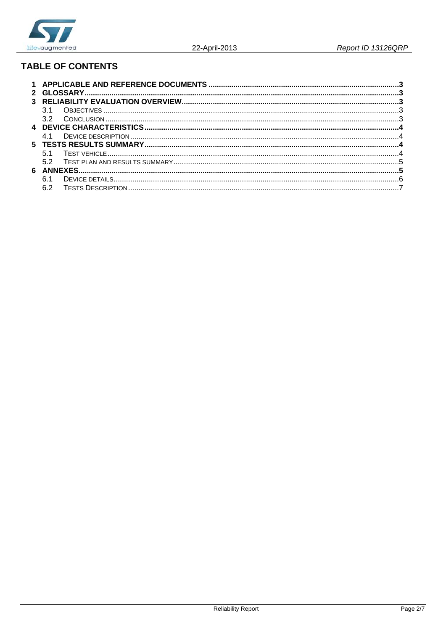

## **TABLE OF CONTENTS**

| 3 1             |  |
|-----------------|--|
| 32 <sup>o</sup> |  |
|                 |  |
| 41              |  |
|                 |  |
|                 |  |
| 52              |  |
|                 |  |
| 61              |  |
| 6.2             |  |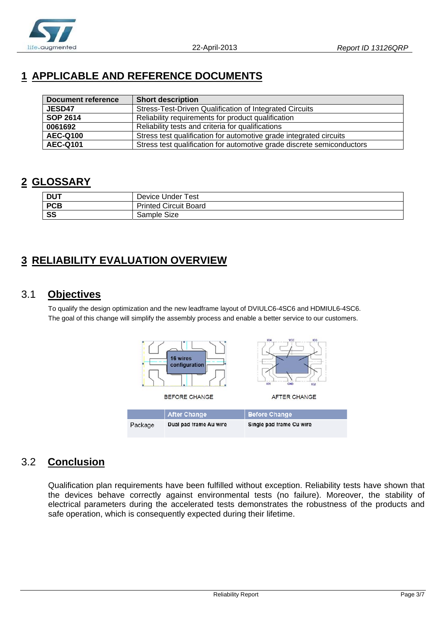

## **1 APPLICABLE AND REFERENCE DOCUMENTS**

| Document reference | <b>Short description</b>                                               |
|--------------------|------------------------------------------------------------------------|
| <b>JESD47</b>      | Stress-Test-Driven Qualification of Integrated Circuits                |
| <b>SOP 2614</b>    | Reliability requirements for product qualification                     |
| 0061692            | Reliability tests and criteria for qualifications                      |
| <b>AEC-Q100</b>    | Stress test qualification for automotive grade integrated circuits     |
| <b>AEC-Q101</b>    | Stress test qualification for automotive grade discrete semiconductors |

### **2 GLOSSARY**

| <b>DUT</b> | Device Under Test            |
|------------|------------------------------|
| <b>PCB</b> | <b>Printed Circuit Board</b> |
| SS         | Sample Size                  |

## **3 RELIABILITY EVALUATION OVERVIEW**

## 3.1 **Objectives**

To qualify the design optimization and the new leadframe layout of DVIULC6-4SC6 and HDMIUL6-4SC6. The goal of this change will simplify the assembly process and enable a better service to our customers.



## 3.2 **Conclusion**

Qualification plan requirements have been fulfilled without exception. Reliability tests have shown that the devices behave correctly against environmental tests (no failure). Moreover, the stability of electrical parameters during the accelerated tests demonstrates the robustness of the products and safe operation, which is consequently expected during their lifetime.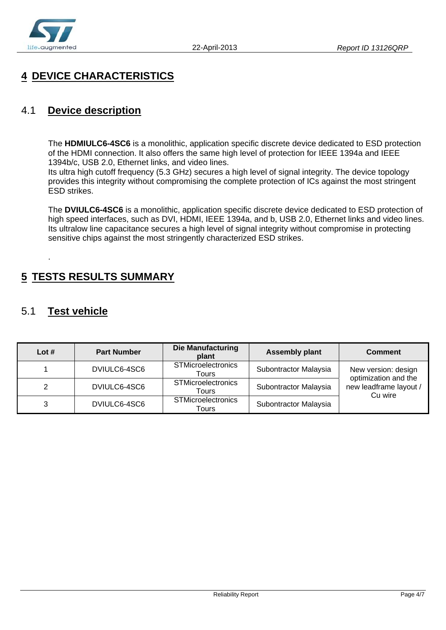

## **4 DEVICE CHARACTERISTICS**

### 4.1 **Device description**

The **HDMIULC6-4SC6** is a monolithic, application specific discrete device dedicated to ESD protection of the HDMI connection. It also offers the same high level of protection for IEEE 1394a and IEEE 1394b/c, USB 2.0, Ethernet links, and video lines.

Its ultra high cutoff frequency (5.3 GHz) secures a high level of signal integrity. The device topology provides this integrity without compromising the complete protection of ICs against the most stringent ESD strikes.

The **DVIULC6-4SC6** is a monolithic, application specific discrete device dedicated to ESD protection of high speed interfaces, such as DVI, HDMI, IEEE 1394a, and b, USB 2.0, Ethernet links and video lines. Its ultralow line capacitance secures a high level of signal integrity without compromise in protecting sensitive chips against the most stringently characterized ESD strikes.

## **5 TESTS RESULTS SUMMARY**

## 5.1 **Test vehicle**

.

| Lot $#$ | <b>Part Number</b> | <b>Die Manufacturing</b><br>plant  | <b>Assembly plant</b> | <b>Comment</b>                              |
|---------|--------------------|------------------------------------|-----------------------|---------------------------------------------|
|         | DVIULC6-4SC6       | <b>STMicroelectronics</b><br>Tours | Subontractor Malaysia | New version: design<br>optimization and the |
|         | DVIULC6-4SC6       | <b>STMicroelectronics</b><br>Tours | Subontractor Malaysia | new leadframe layout /<br>Cu wire           |
|         | DVIULC6-4SC6       | <b>STMicroelectronics</b><br>Tours | Subontractor Malaysia |                                             |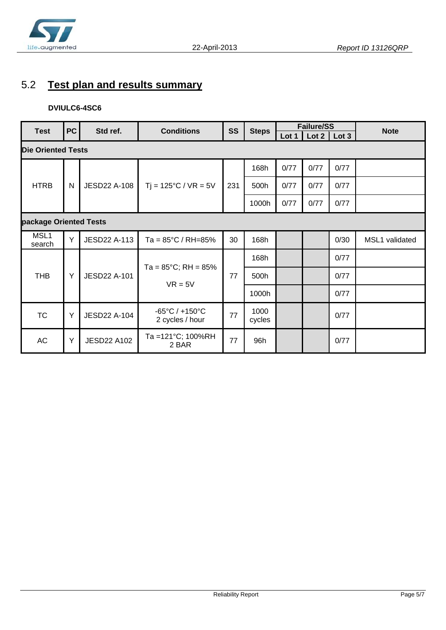

## 5.2 **Test plan and results summary**

#### **DVIULC6-4SC6**

| <b>Test</b>               | <b>PC</b> | Std ref.                                                             | <b>Conditions</b>                                     | <b>SS</b> | <b>Steps</b>   |       | <b>Failure/SS</b> |      | <b>Note</b>    |
|---------------------------|-----------|----------------------------------------------------------------------|-------------------------------------------------------|-----------|----------------|-------|-------------------|------|----------------|
|                           |           |                                                                      |                                                       |           |                | Lot 1 | $Lot 2$ $Lot 3$   |      |                |
| <b>Die Oriented Tests</b> |           |                                                                      |                                                       |           |                |       |                   |      |                |
|                           |           |                                                                      | $Tj = 125^{\circ}C / VR = 5V$                         |           | 168h           | 0/77  | 0/77              | 0/77 |                |
| <b>HTRB</b>               | N         | <b>JESD22 A-108</b>                                                  |                                                       | 231       | 500h           | 0/77  | 0/77              | 0/77 |                |
|                           |           |                                                                      |                                                       |           | 1000h          | 0/77  | 0/77              | 0/77 |                |
| package Oriented Tests    |           |                                                                      |                                                       |           |                |       |                   |      |                |
| MSL1<br>search            | Y         | <b>JESD22 A-113</b>                                                  | Ta = $85^{\circ}$ C / RH= $85\%$                      | 30        | 168h           |       |                   | 0/30 | MSL1 validated |
|                           | Y         | $Ta = 85^{\circ}C$ ; RH = $85\%$<br><b>JESD22 A-101</b><br>$VR = 5V$ |                                                       |           | 168h           |       |                   | 0/77 |                |
| <b>THB</b>                |           |                                                                      |                                                       | 77        | 500h           |       |                   | 0/77 |                |
|                           |           |                                                                      |                                                       |           | 1000h          |       |                   | 0/77 |                |
| <b>TC</b>                 | Y         | <b>JESD22 A-104</b>                                                  | $-65^{\circ}$ C / $+150^{\circ}$ C<br>2 cycles / hour | 77        | 1000<br>cycles |       |                   | 0/77 |                |
| AC                        | Y         | <b>JESD22 A102</b>                                                   | Ta =121°C; 100%RH<br>2 BAR                            | 77        | 96h            |       |                   | 0/77 |                |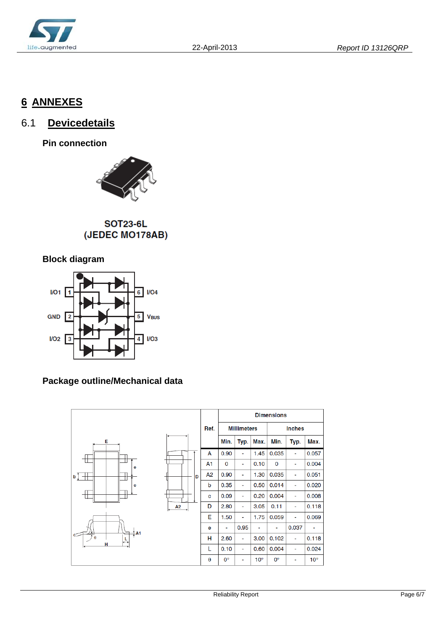

## **6 ANNEXES**

## 6.1 **Devicedetails**

**Pin connection** 



SOT23-6L (JEDEC MO178AB)

### **Block diagram**



### **Package outline/Mechanical data**

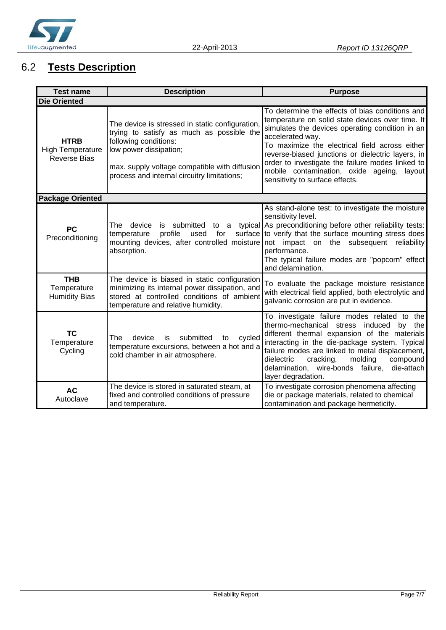

## 6.2 **Tests Description**

| <b>Test name</b><br><b>Description</b>                        |                                                                                                                                                                                                                                                 | <b>Purpose</b>                                                                                                                                                                                                                                                                                                                                                                                                            |
|---------------------------------------------------------------|-------------------------------------------------------------------------------------------------------------------------------------------------------------------------------------------------------------------------------------------------|---------------------------------------------------------------------------------------------------------------------------------------------------------------------------------------------------------------------------------------------------------------------------------------------------------------------------------------------------------------------------------------------------------------------------|
| <b>Die Oriented</b>                                           |                                                                                                                                                                                                                                                 |                                                                                                                                                                                                                                                                                                                                                                                                                           |
| <b>HTRB</b><br><b>High Temperature</b><br><b>Reverse Bias</b> | The device is stressed in static configuration,<br>trying to satisfy as much as possible the<br>following conditions:<br>low power dissipation;<br>max. supply voltage compatible with diffusion<br>process and internal circuitry limitations; | To determine the effects of bias conditions and<br>temperature on solid state devices over time. It<br>simulates the devices operating condition in an<br>accelerated way.<br>To maximize the electrical field across either<br>reverse-biased junctions or dielectric layers, in<br>order to investigate the failure modes linked to<br>mobile contamination, oxide ageing,<br>layout<br>sensitivity to surface effects. |
| <b>Package Oriented</b>                                       |                                                                                                                                                                                                                                                 |                                                                                                                                                                                                                                                                                                                                                                                                                           |
| <b>PC</b><br>Preconditioning                                  | The device<br>profile<br>temperature<br>used<br>for<br>mounting devices, after controlled moisture<br>absorption.                                                                                                                               | As stand-alone test: to investigate the moisture<br>sensitivity level.<br>is submitted to a typical As preconditioning before other reliability tests:<br>surface to verify that the surface mounting stress does<br>not impact on the subsequent<br>reliability<br>performance.<br>The typical failure modes are "popcorn" effect<br>and delamination.                                                                   |
| <b>THB</b><br>Temperature<br><b>Humidity Bias</b>             | The device is biased in static configuration<br>minimizing its internal power dissipation, and<br>stored at controlled conditions of ambient<br>temperature and relative humidity.                                                              | To evaluate the package moisture resistance<br>with electrical field applied, both electrolytic and<br>galvanic corrosion are put in evidence.                                                                                                                                                                                                                                                                            |
| <b>TC</b><br>Temperature<br>Cycling                           | submitted<br>device<br>cycled<br>The<br>is<br>to<br>temperature excursions, between a hot and a<br>cold chamber in air atmosphere.                                                                                                              | To investigate failure modes related to the<br>thermo-mechanical stress induced<br>by the<br>different thermal expansion of the materials<br>interacting in the die-package system. Typical<br>failure modes are linked to metal displacement,<br>molding<br>dielectric<br>cracking,<br>compound<br>delamination, wire-bonds failure,<br>die-attach<br>layer degradation.                                                 |
| <b>AC</b><br>Autoclave                                        | The device is stored in saturated steam, at<br>fixed and controlled conditions of pressure<br>and temperature.                                                                                                                                  | To investigate corrosion phenomena affecting<br>die or package materials, related to chemical<br>contamination and package hermeticity.                                                                                                                                                                                                                                                                                   |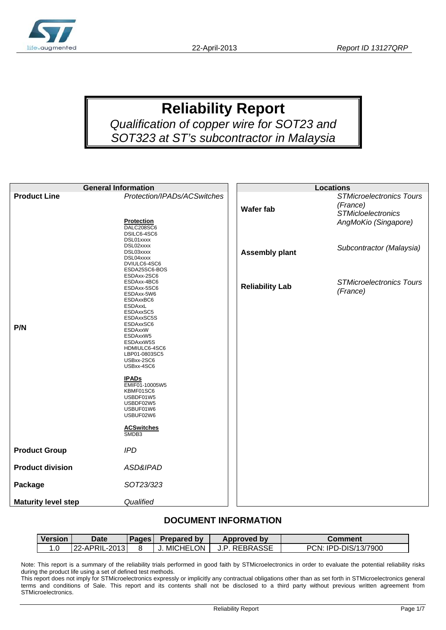

# **Reliability Report**

*Qualification of copper wire for SOT23 and SOT323 at ST's subcontractor in Malaysia* 

| <b>General Information</b> |                                                                                                                                                                                                                                                                                                                                                                          |                        | <b>Locations</b>                                                                                 |
|----------------------------|--------------------------------------------------------------------------------------------------------------------------------------------------------------------------------------------------------------------------------------------------------------------------------------------------------------------------------------------------------------------------|------------------------|--------------------------------------------------------------------------------------------------|
| <b>Product Line</b>        | Protection/IPADs/ACSwitches<br><b>Protection</b>                                                                                                                                                                                                                                                                                                                         | <b>Wafer fab</b>       | <b>STMicroelectronics Tours</b><br>(France)<br><b>STMicloelectronics</b><br>AngMoKio (Singapore) |
|                            | DALC208SC6<br>DSILC6-4SC6<br>DSL01xxxx<br>DSL02xxxx<br>DSL03xxxx<br>DSL04xxxx<br>DVIULC6-4SC6<br>ESDA25SC6-BOS                                                                                                                                                                                                                                                           | <b>Assembly plant</b>  | Subcontractor (Malaysia)                                                                         |
| P/N                        | ESDAxx-2SC6<br>ESDAxx-4BC6<br>ESDAxx-5SC6<br>ESDAxx-5W6<br>ESDAxxBC6<br><b>ESDAxxL</b><br>ESDAxxSC5<br>ESDAxxSC5S<br>ESDAxxSC6<br><b>ESDAxxW</b><br>ESDAxxW5<br>ESDAxxW5S<br>HDMIULC6-4SC6<br>LBP01-0803SC5<br>USBxx-2SC6<br>USBxx-4SC6<br><b>IPADs</b><br>EMIF01-10005W5<br>KBMF01SC6<br>USBDF01W5<br>USBDF02W5<br>USBUF01W6<br>USBUF02W6<br><b>ACSwitches</b><br>SMDB3 | <b>Reliability Lab</b> | <b>STMicroelectronics Tours</b><br>(France)                                                      |
| <b>Product Group</b>       | <b>IPD</b>                                                                                                                                                                                                                                                                                                                                                               |                        |                                                                                                  |
| <b>Product division</b>    | ASD&IPAD                                                                                                                                                                                                                                                                                                                                                                 |                        |                                                                                                  |
| Package                    | SOT23/323                                                                                                                                                                                                                                                                                                                                                                |                        |                                                                                                  |
| <b>Maturity level step</b> | Qualified                                                                                                                                                                                                                                                                                                                                                                |                        |                                                                                                  |

#### **DOCUMENT INFORMATION**

| Version | <b>Date</b>    | Pages | <b>Prepared by</b> | <b>Approved by</b> | Comment              |
|---------|----------------|-------|--------------------|--------------------|----------------------|
|         | 22-APRIL-20131 |       | <b>MICHELON</b>    | J.P. REBRASSE      | PCN: IPD-DIS/13/7900 |

Note: This report is a summary of the reliability trials performed in good faith by STMicroelectronics in order to evaluate the potential reliability risks during the product life using a set of defined test methods.

This report does not imply for STMicroelectronics expressly or implicitly any contractual obligations other than as set forth in STMicroelectronics general terms and conditions of Sale. This report and its contents shall not be disclosed to a third party without previous written agreement from STMicroelectronics.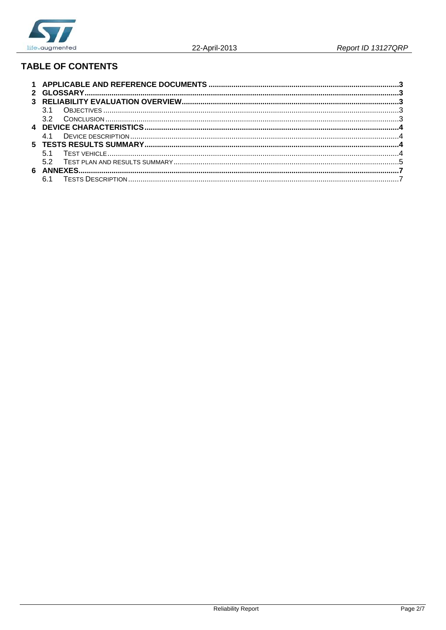

## **TABLE OF CONTENTS**

| <b>31</b>       |  |  |  |  |  |  |
|-----------------|--|--|--|--|--|--|
| 32 <sup>o</sup> |  |  |  |  |  |  |
|                 |  |  |  |  |  |  |
| <b>41</b>       |  |  |  |  |  |  |
|                 |  |  |  |  |  |  |
|                 |  |  |  |  |  |  |
| 52              |  |  |  |  |  |  |
|                 |  |  |  |  |  |  |
|                 |  |  |  |  |  |  |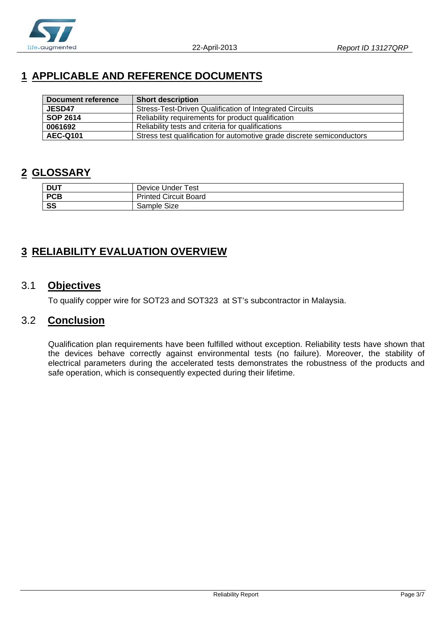

## **1 APPLICABLE AND REFERENCE DOCUMENTS**

| Document reference | <b>Short description</b>                                               |
|--------------------|------------------------------------------------------------------------|
| <b>JESD47</b>      | Stress-Test-Driven Qualification of Integrated Circuits                |
| <b>SOP 2614</b>    | Reliability requirements for product qualification                     |
| 0061692            | Reliability tests and criteria for qualifications                      |
| <b>AEC-Q101</b>    | Stress test qualification for automotive grade discrete semiconductors |

## **2 GLOSSARY**

| DUT        | Device Under Test            |
|------------|------------------------------|
| <b>PCB</b> | <b>Printed Circuit Board</b> |
| SS         | Sample Size                  |

## **3 RELIABILITY EVALUATION OVERVIEW**

### 3.1 **Objectives**

To qualify copper wire for SOT23 and SOT323 at ST's subcontractor in Malaysia.

### 3.2 **Conclusion**

Qualification plan requirements have been fulfilled without exception. Reliability tests have shown that the devices behave correctly against environmental tests (no failure). Moreover, the stability of electrical parameters during the accelerated tests demonstrates the robustness of the products and safe operation, which is consequently expected during their lifetime.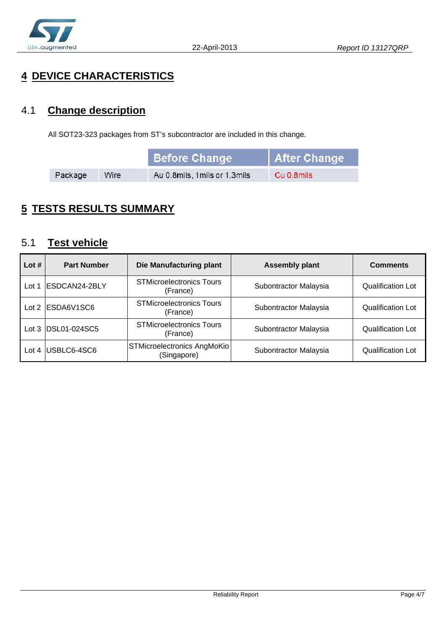

## **4 DEVICE CHARACTERISTICS**

## 4.1 **Change description**

All SOT23-323 packages from ST's subcontractor are included in this change.

|         |      | <b>Before Change</b>         | After Change |
|---------|------|------------------------------|--------------|
| Package | Wire | Au 0.8mils, 1mils or 1.3mils | Cu 0.8mils   |

## **5 TESTS RESULTS SUMMARY**

## 5.1 **Test vehicle**

| Lot $#$ | <b>Part Number</b>     | Die Manufacturing plant                     | <b>Assembly plant</b> | <b>Comments</b>   |
|---------|------------------------|---------------------------------------------|-----------------------|-------------------|
| Lot     | <b>IESDCAN24-2BLY</b>  | <b>STMicroelectronics Tours</b><br>(France) | Subontractor Malaysia | Qualification Lot |
|         | Lot $2$ $ ESDA6V1SC6 $ | <b>STMicroelectronics Tours</b><br>(France) | Subontractor Malaysia | Qualification Lot |
|         | Lot 3 DSL01-024SC5     | <b>STMicroelectronics Tours</b><br>(France) | Subontractor Malaysia | Qualification Lot |
| Lot 4   | USBLC6-4SC6            | STMicroelectronics AngMoKio<br>(Singapore)  | Subontractor Malaysia | Qualification Lot |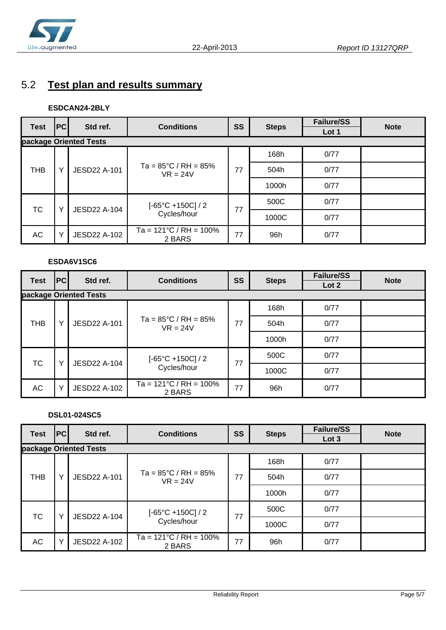

## 5.2 **Test plan and results summary**

#### **ESDCAN24-2BLY**

| <b>Test</b> | PC           | Std ref.               | <b>Conditions</b>                               | SS | <b>Steps</b> | <b>Failure/SS</b><br>Lot 1 | <b>Note</b> |
|-------------|--------------|------------------------|-------------------------------------------------|----|--------------|----------------------------|-------------|
|             |              | package Oriented Tests |                                                 |    |              |                            |             |
| <b>THB</b>  |              | <b>JESD22 A-101</b>    | Ta = $85^{\circ}$ C / RH = $85\%$<br>$VR = 24V$ | 77 | 168h         | 0/77                       |             |
|             | v            |                        |                                                 |    | 504h         | 0/77                       |             |
|             |              |                        |                                                 |    | 1000h        | 0/77                       |             |
| ТC<br>v     |              | <b>JESD22 A-104</b>    | $[-65^{\circ}C + 150C]/2$<br>Cycles/hour        | 77 | 500C         | 0/77                       |             |
|             |              |                        |                                                 |    | 1000C        | 0/77                       |             |
| AC          | $\checkmark$ | JESD22 A-102           | Ta = $121^{\circ}$ C / RH = $100\%$<br>2 BARS   | 77 | 96h          | 0/77                       |             |

#### **ESDA6V1SC6**

| <b>Test</b> | PC | Std ref.               | <b>Conditions</b>                               | SS | <b>Steps</b> | <b>Failure/SS</b><br>Lot 2 | <b>Note</b> |
|-------------|----|------------------------|-------------------------------------------------|----|--------------|----------------------------|-------------|
|             |    | package Oriented Tests |                                                 |    |              |                            |             |
| <b>THB</b>  |    | <b>JESD22 A-101</b>    | Ta = $85^{\circ}$ C / RH = $85\%$<br>$VR = 24V$ | 77 | 168h         | 0/77                       |             |
|             |    |                        |                                                 |    | 504h         | 0/77                       |             |
|             |    |                        |                                                 |    | 1000h        | 0/77                       |             |
| <b>TC</b>   |    | <b>JESD22 A-104</b>    | $[-65^{\circ}C + 150C]/2$<br>Cycles/hour        | 77 | 500C         | 0/77                       |             |
|             |    |                        |                                                 |    | 1000C        | 0/77                       |             |
| AC          |    | <b>JESD22 A-102</b>    | $Ta = 121^{\circ}C / RH = 100\%$<br>2 BARS      | 77 | 96h          | 0/77                       |             |

#### **DSL01-024SC5**

| <b>Test</b> | <b>PC</b>                       | Std ref.            | <b>Conditions</b>                               | <b>SS</b> | <b>Steps</b> | <b>Failure/SS</b> | <b>Note</b> |  |
|-------------|---------------------------------|---------------------|-------------------------------------------------|-----------|--------------|-------------------|-------------|--|
|             | Lot 3<br>package Oriented Tests |                     |                                                 |           |              |                   |             |  |
| <b>THB</b>  | $\checkmark$                    | <b>JESD22 A-101</b> | Ta = $85^{\circ}$ C / RH = $85\%$<br>$VR = 24V$ | 77        | 168h         | 0/77              |             |  |
|             |                                 |                     |                                                 |           | 504h         | 0/77              |             |  |
|             |                                 |                     |                                                 |           | 1000h        | 0/77              |             |  |
| <b>TC</b>   | $\checkmark$                    | JESD22 A-104        | $[-65^{\circ}C + 150C]/2$<br>Cycles/hour        | 77        | 500C         | 0/77              |             |  |
|             |                                 |                     |                                                 |           | 1000C        | 0/77              |             |  |
| АC          | v                               | JESD22 A-102        | Ta = $121^{\circ}$ C / RH = $100\%$<br>2 BARS   | 77        | 96h          | 0/77              |             |  |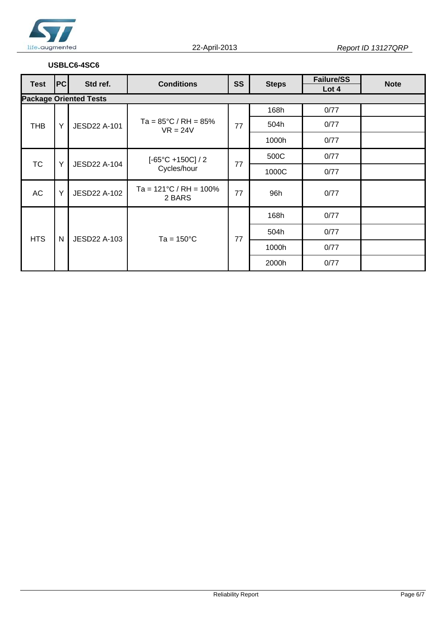

#### **USBLC6-4SC6**

| Test       | <b>PC</b> | Std ref.                      | <b>Conditions</b>                               | <b>SS</b> | <b>Steps</b> | <b>Failure/SS</b><br>Lot 4 | <b>Note</b> |
|------------|-----------|-------------------------------|-------------------------------------------------|-----------|--------------|----------------------------|-------------|
|            |           | <b>Package Oriented Tests</b> |                                                 |           |              |                            |             |
|            |           | <b>JESD22 A-101</b>           | Ta = $85^{\circ}$ C / RH = $85\%$<br>$VR = 24V$ | 77        | 168h         | 0/77                       |             |
| <b>THB</b> | Y         |                               |                                                 |           | 504h         | 0/77                       |             |
|            |           |                               |                                                 |           | 1000h        | 0/77                       |             |
| <b>TC</b>  | Y         | JESD22 A-104                  | $[-65^{\circ}C + 150C]/2$<br>Cycles/hour        | 77        | 500C         | 0/77                       |             |
|            |           |                               |                                                 |           | 1000C        | 0/77                       |             |
| <b>AC</b>  | Y         | JESD22 A-102                  | Ta = $121^{\circ}$ C / RH = $100\%$<br>2 BARS   | 77        | 96h          | 0/77                       |             |
| <b>HTS</b> | N         | JESD22 A-103                  | $Ta = 150^{\circ}C$                             | 77        | 168h         | 0/77                       |             |
|            |           |                               |                                                 |           | 504h         | 0/77                       |             |
|            |           |                               |                                                 |           | 1000h        | 0/77                       |             |
|            |           |                               |                                                 |           | 2000h        | 0/77                       |             |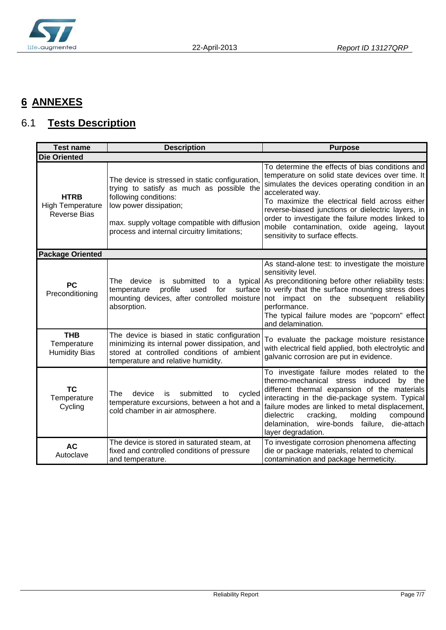

## **6 ANNEXES**

## 6.1 **Tests Description**

| <b>Test name</b>                                              | <b>Description</b>                                                                                                                                                                                                                              | <b>Purpose</b>                                                                                                                                                                                                                                                                                                                                                                                                         |  |  |  |  |
|---------------------------------------------------------------|-------------------------------------------------------------------------------------------------------------------------------------------------------------------------------------------------------------------------------------------------|------------------------------------------------------------------------------------------------------------------------------------------------------------------------------------------------------------------------------------------------------------------------------------------------------------------------------------------------------------------------------------------------------------------------|--|--|--|--|
| <b>Die Oriented</b>                                           |                                                                                                                                                                                                                                                 |                                                                                                                                                                                                                                                                                                                                                                                                                        |  |  |  |  |
| <b>HTRB</b><br><b>High Temperature</b><br><b>Reverse Bias</b> | The device is stressed in static configuration,<br>trying to satisfy as much as possible the<br>following conditions:<br>low power dissipation;<br>max. supply voltage compatible with diffusion<br>process and internal circuitry limitations; | To determine the effects of bias conditions and<br>temperature on solid state devices over time. It<br>simulates the devices operating condition in an<br>accelerated way.<br>To maximize the electrical field across either<br>reverse-biased junctions or dielectric layers, in<br>order to investigate the failure modes linked to<br>mobile contamination, oxide ageing, layout<br>sensitivity to surface effects. |  |  |  |  |
| <b>Package Oriented</b>                                       |                                                                                                                                                                                                                                                 |                                                                                                                                                                                                                                                                                                                                                                                                                        |  |  |  |  |
| <b>PC</b><br>Preconditioning                                  | The device<br>submitted to a typical<br>is<br>profile<br>for<br>temperature<br>used<br>mounting devices, after controlled moisture<br>absorption.                                                                                               | As stand-alone test: to investigate the moisture<br>sensitivity level.<br>As preconditioning before other reliability tests:<br>surface to verify that the surface mounting stress does<br>not impact on the subsequent reliability<br>performance.<br>The typical failure modes are "popcorn" effect<br>and delamination.                                                                                             |  |  |  |  |
| <b>THB</b><br>Temperature<br><b>Humidity Bias</b>             | The device is biased in static configuration<br>minimizing its internal power dissipation, and<br>stored at controlled conditions of ambient<br>temperature and relative humidity.                                                              | To evaluate the package moisture resistance<br>with electrical field applied, both electrolytic and<br>galvanic corrosion are put in evidence.                                                                                                                                                                                                                                                                         |  |  |  |  |
| <b>TC</b><br>Temperature<br>Cycling                           | device<br>submitted<br>The<br>cycled<br>is<br>to<br>temperature excursions, between a hot and a<br>cold chamber in air atmosphere.                                                                                                              | To investigate failure modes related to the<br>thermo-mechanical stress induced<br>by the<br>different thermal expansion of the materials<br>interacting in the die-package system. Typical<br>failure modes are linked to metal displacement,<br>dielectric<br>cracking,<br>molding<br>compound<br>die-attach<br>delamination, wire-bonds failure,<br>layer degradation.                                              |  |  |  |  |
| <b>AC</b><br>Autoclave                                        | The device is stored in saturated steam, at<br>fixed and controlled conditions of pressure<br>and temperature.                                                                                                                                  | To investigate corrosion phenomena affecting<br>die or package materials, related to chemical<br>contamination and package hermeticity.                                                                                                                                                                                                                                                                                |  |  |  |  |